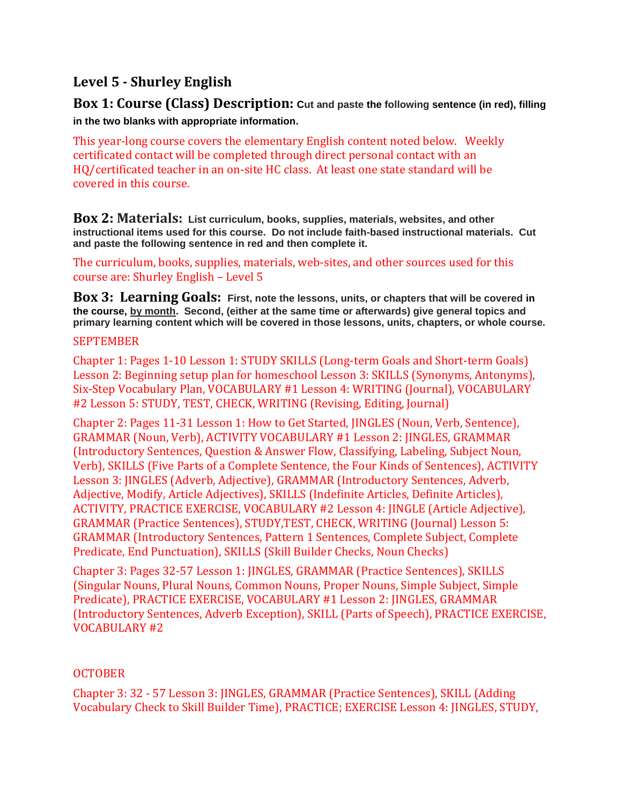# **Level 5 - Shurley English**

**Box 1: Course (Class) Description: Cut and paste the following sentence (in red), filling in the two blanks with appropriate information.** 

This year-long course covers the elementary English content noted below. Weekly certificated contact will be completed through direct personal contact with an HQ/certificated teacher in an on-site HC class. At least one state standard will be covered in this course.

**Box 2: Materials: List curriculum, books, supplies, materials, websites, and other instructional items used for this course. Do not include faith-based instructional materials. Cut and paste the following sentence in red and then complete it.**

The curriculum, books, supplies, materials, web-sites, and other sources used for this course are: Shurley English – Level 5

**Box 3: Learning Goals: First, note the lessons, units, or chapters that will be covered in the course, by month. Second, (either at the same time or afterwards) give general topics and primary learning content which will be covered in those lessons, units, chapters, or whole course.**

#### SEPTEMBER

Chapter 1: Pages 1-10 Lesson 1: STUDY SKILLS (Long-term Goals and Short-term Goals) Lesson 2: Beginning setup plan for homeschool Lesson 3: SKILLS (Synonyms, Antonyms), Six-Step Vocabulary Plan, VOCABULARY #1 Lesson 4: WRITING (Journal), VOCABULARY #2 Lesson 5: STUDY, TEST, CHECK, WRITING (Revising, Editing, Journal)

Chapter 2: Pages 11-31 Lesson 1: How to Get Started, JINGLES (Noun, Verb, Sentence), GRAMMAR (Noun, Verb), ACTIVITY VOCABULARY #1 Lesson 2: JINGLES, GRAMMAR (Introductory Sentences, Question & Answer Flow, Classifying, Labeling, Subject Noun, Verb), SKILLS (Five Parts of a Complete Sentence, the Four Kinds of Sentences), ACTIVITY Lesson 3: JINGLES (Adverb, Adjective), GRAMMAR (Introductory Sentences, Adverb, Adjective, Modify, Article Adjectives), SKILLS (Indefinite Articles, Definite Articles), ACTIVITY, PRACTICE EXERCISE, VOCABULARY #2 Lesson 4: JINGLE (Article Adjective), GRAMMAR (Practice Sentences), STUDY,TEST, CHECK, WRITING (Journal) Lesson 5: GRAMMAR (Introductory Sentences, Pattern 1 Sentences, Complete Subject, Complete Predicate, End Punctuation), SKILLS (Skill Builder Checks, Noun Checks)

Chapter 3: Pages 32-57 Lesson 1: JINGLES, GRAMMAR (Practice Sentences), SKILLS (Singular Nouns, Plural Nouns, Common Nouns, Proper Nouns, Simple Subject, Simple Predicate), PRACTICE EXERCISE, VOCABULARY #1 Lesson 2: JINGLES, GRAMMAR (Introductory Sentences, Adverb Exception), SKILL (Parts of Speech), PRACTICE EXERCISE, VOCABULARY #2

#### **OCTOBER**

Chapter 3: 32 - 57 Lesson 3: JINGLES, GRAMMAR (Practice Sentences), SKILL (Adding Vocabulary Check to Skill Builder Time), PRACTICE; EXERCISE Lesson 4: JINGLES, STUDY,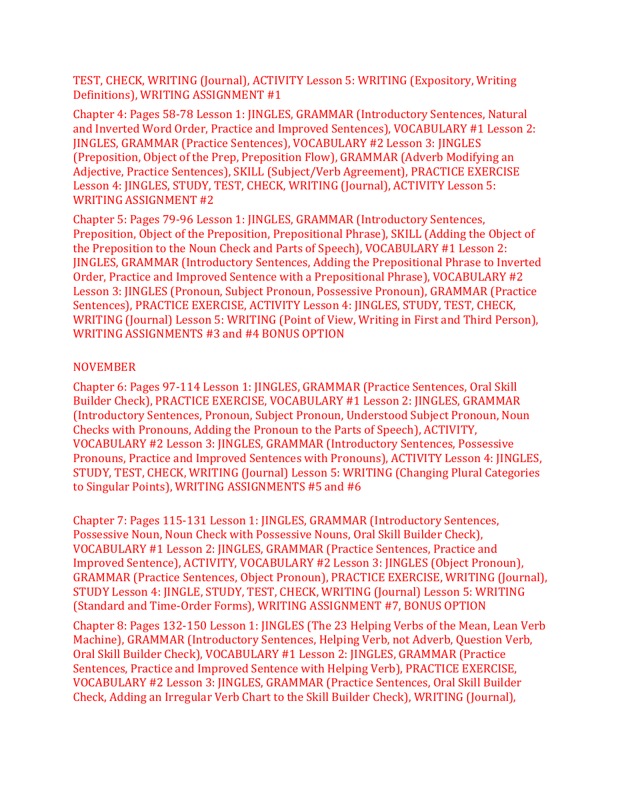TEST, CHECK, WRITING (Journal), ACTIVITY Lesson 5: WRITING (Expository, Writing Definitions), WRITING ASSIGNMENT #1

Chapter 4: Pages 58-78 Lesson 1: JINGLES, GRAMMAR (Introductory Sentences, Natural and Inverted Word Order, Practice and Improved Sentences), VOCABULARY #1 Lesson 2: JINGLES, GRAMMAR (Practice Sentences), VOCABULARY #2 Lesson 3: JINGLES (Preposition, Object of the Prep, Preposition Flow), GRAMMAR (Adverb Modifying an Adjective, Practice Sentences), SKILL (Subject/Verb Agreement), PRACTICE EXERCISE Lesson 4: JINGLES, STUDY, TEST, CHECK, WRITING (Journal), ACTIVITY Lesson 5: WRITING ASSIGNMENT #2

Chapter 5: Pages 79-96 Lesson 1: JINGLES, GRAMMAR (Introductory Sentences, Preposition, Object of the Preposition, Prepositional Phrase), SKILL (Adding the Object of the Preposition to the Noun Check and Parts of Speech), VOCABULARY #1 Lesson 2: JINGLES, GRAMMAR (Introductory Sentences, Adding the Prepositional Phrase to Inverted Order, Practice and Improved Sentence with a Prepositional Phrase), VOCABULARY #2 Lesson 3: JINGLES (Pronoun, Subject Pronoun, Possessive Pronoun), GRAMMAR (Practice Sentences), PRACTICE EXERCISE, ACTIVITY Lesson 4: JINGLES, STUDY, TEST, CHECK, WRITING (Journal) Lesson 5: WRITING (Point of View, Writing in First and Third Person), WRITING ASSIGNMENTS #3 and #4 BONUS OPTION

### NOVEMBER

Chapter 6: Pages 97-114 Lesson 1: JINGLES, GRAMMAR (Practice Sentences, Oral Skill Builder Check), PRACTICE EXERCISE, VOCABULARY #1 Lesson 2: JINGLES, GRAMMAR (Introductory Sentences, Pronoun, Subject Pronoun, Understood Subject Pronoun, Noun Checks with Pronouns, Adding the Pronoun to the Parts of Speech), ACTIVITY, VOCABULARY #2 Lesson 3: JINGLES, GRAMMAR (Introductory Sentences, Possessive Pronouns, Practice and Improved Sentences with Pronouns), ACTIVITY Lesson 4: JINGLES, STUDY, TEST, CHECK, WRITING (Journal) Lesson 5: WRITING (Changing Plural Categories to Singular Points), WRITING ASSIGNMENTS #5 and #6

Chapter 7: Pages 115-131 Lesson 1: JINGLES, GRAMMAR (Introductory Sentences, Possessive Noun, Noun Check with Possessive Nouns, Oral Skill Builder Check), VOCABULARY #1 Lesson 2: JINGLES, GRAMMAR (Practice Sentences, Practice and Improved Sentence), ACTIVITY, VOCABULARY #2 Lesson 3: JINGLES (Object Pronoun), GRAMMAR (Practice Sentences, Object Pronoun), PRACTICE EXERCISE, WRITING (Journal), STUDY Lesson 4: JINGLE, STUDY, TEST, CHECK, WRITING (Journal) Lesson 5: WRITING (Standard and Time-Order Forms), WRITING ASSIGNMENT #7, BONUS OPTION

Chapter 8: Pages 132-150 Lesson 1: JINGLES (The 23 Helping Verbs of the Mean, Lean Verb Machine), GRAMMAR (Introductory Sentences, Helping Verb, not Adverb, Question Verb, Oral Skill Builder Check), VOCABULARY #1 Lesson 2: JINGLES, GRAMMAR (Practice Sentences, Practice and Improved Sentence with Helping Verb), PRACTICE EXERCISE, VOCABULARY #2 Lesson 3: JINGLES, GRAMMAR (Practice Sentences, Oral Skill Builder Check, Adding an Irregular Verb Chart to the Skill Builder Check), WRITING (Journal),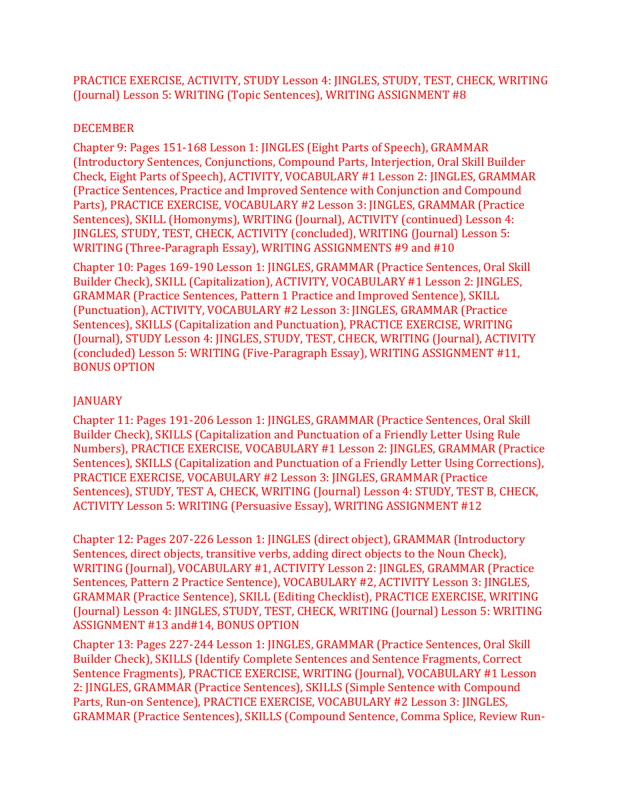PRACTICE EXERCISE, ACTIVITY, STUDY Lesson 4: JINGLES, STUDY, TEST, CHECK, WRITING (Journal) Lesson 5: WRITING (Topic Sentences), WRITING ASSIGNMENT #8

### DECEMBER

Chapter 9: Pages 151-168 Lesson 1: JINGLES (Eight Parts of Speech), GRAMMAR (Introductory Sentences, Conjunctions, Compound Parts, Interjection, Oral Skill Builder Check, Eight Parts of Speech), ACTIVITY, VOCABULARY #1 Lesson 2: JINGLES, GRAMMAR (Practice Sentences, Practice and Improved Sentence with Conjunction and Compound Parts), PRACTICE EXERCISE, VOCABULARY #2 Lesson 3: JINGLES, GRAMMAR (Practice Sentences), SKILL (Homonyms), WRITING (Journal), ACTIVITY (continued) Lesson 4: JINGLES, STUDY, TEST, CHECK, ACTIVITY (concluded), WRITING (Journal) Lesson 5: WRITING (Three-Paragraph Essay), WRITING ASSIGNMENTS #9 and #10

Chapter 10: Pages 169-190 Lesson 1: JINGLES, GRAMMAR (Practice Sentences, Oral Skill Builder Check), SKILL (Capitalization), ACTIVITY, VOCABULARY #1 Lesson 2: JINGLES, GRAMMAR (Practice Sentences, Pattern 1 Practice and Improved Sentence), SKILL (Punctuation), ACTIVITY, VOCABULARY #2 Lesson 3: JINGLES, GRAMMAR (Practice Sentences), SKILLS (Capitalization and Punctuation), PRACTICE EXERCISE, WRITING (Journal), STUDY Lesson 4: JINGLES, STUDY, TEST, CHECK, WRITING (Journal), ACTIVITY (concluded) Lesson 5: WRITING (Five-Paragraph Essay), WRITING ASSIGNMENT #11, BONUS OPTION

## **JANUARY**

Chapter 11: Pages 191-206 Lesson 1: JINGLES, GRAMMAR (Practice Sentences, Oral Skill Builder Check), SKILLS (Capitalization and Punctuation of a Friendly Letter Using Rule Numbers), PRACTICE EXERCISE, VOCABULARY #1 Lesson 2: JINGLES, GRAMMAR (Practice Sentences), SKILLS (Capitalization and Punctuation of a Friendly Letter Using Corrections), PRACTICE EXERCISE, VOCABULARY #2 Lesson 3: JINGLES, GRAMMAR (Practice Sentences), STUDY, TEST A, CHECK, WRITING (Journal) Lesson 4: STUDY, TEST B, CHECK, ACTIVITY Lesson 5: WRITING (Persuasive Essay), WRITING ASSIGNMENT #12

Chapter 12: Pages 207-226 Lesson 1: JINGLES (direct object), GRAMMAR (Introductory Sentences, direct objects, transitive verbs, adding direct objects to the Noun Check), WRITING (Journal), VOCABULARY #1, ACTIVITY Lesson 2: JINGLES, GRAMMAR (Practice Sentences, Pattern 2 Practice Sentence), VOCABULARY #2, ACTIVITY Lesson 3: JINGLES, GRAMMAR (Practice Sentence), SKILL (Editing Checklist), PRACTICE EXERCISE, WRITING (Journal) Lesson 4: JINGLES, STUDY, TEST, CHECK, WRITING (Journal) Lesson 5: WRITING ASSIGNMENT #13 and#14, BONUS OPTION

Chapter 13: Pages 227-244 Lesson 1: JINGLES, GRAMMAR (Practice Sentences, Oral Skill Builder Check), SKILLS (Identify Complete Sentences and Sentence Fragments, Correct Sentence Fragments), PRACTICE EXERCISE, WRITING (Journal), VOCABULARY #1 Lesson 2: JINGLES, GRAMMAR (Practice Sentences), SKILLS (Simple Sentence with Compound Parts, Run-on Sentence), PRACTICE EXERCISE, VOCABULARY #2 Lesson 3: JINGLES, GRAMMAR (Practice Sentences), SKILLS (Compound Sentence, Comma Splice, Review Run-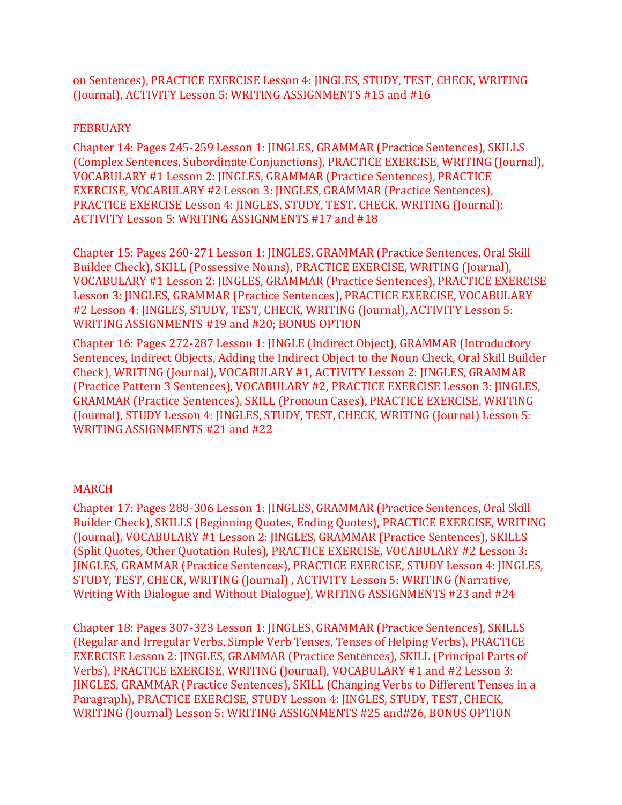on Sentences), PRACTICE EXERCISE Lesson 4: JINGLES, STUDY, TEST, CHECK, WRITING (Journal), ACTIVITY Lesson 5: WRITING ASSIGNMENTS #15 and #16

#### FEBRUARY

Chapter 14: Pages 245-259 Lesson 1: JINGLES, GRAMMAR (Practice Sentences), SKILLS (Complex Sentences, Subordinate Conjunctions), PRACTICE EXERCISE, WRITING (Journal), VOCABULARY #1 Lesson 2: JINGLES, GRAMMAR (Practice Sentences), PRACTICE EXERCISE, VOCABULARY #2 Lesson 3: JINGLES, GRAMMAR (Practice Sentences), PRACTICE EXERCISE Lesson 4: JINGLES, STUDY, TEST, CHECK, WRITING (Journal); ACTIVITY Lesson 5: WRITING ASSIGNMENTS #17 and #18

Chapter 15: Pages 260-271 Lesson 1: JINGLES, GRAMMAR (Practice Sentences, Oral Skill Builder Check), SKILL (Possessive Nouns), PRACTICE EXERCISE, WRITING (Journal), VOCABULARY #1 Lesson 2: JINGLES, GRAMMAR (Practice Sentences), PRACTICE EXERCISE Lesson 3: JINGLES, GRAMMAR (Practice Sentences), PRACTICE EXERCISE, VOCABULARY #2 Lesson 4: JINGLES, STUDY, TEST, CHECK, WRITING (Journal), ACTIVITY Lesson 5: WRITING ASSIGNMENTS #19 and #20; BONUS OPTION

Chapter 16: Pages 272-287 Lesson 1: JINGLE (Indirect Object), GRAMMAR (Introductory Sentences, Indirect Objects, Adding the Indirect Object to the Noun Check, Oral Skill Builder Check), WRITING (Journal), VOCABULARY #1, ACTIVITY Lesson 2: JINGLES, GRAMMAR (Practice Pattern 3 Sentences), VOCABULARY #2, PRACTICE EXERCISE Lesson 3: JINGLES, GRAMMAR (Practice Sentences), SKILL (Pronoun Cases), PRACTICE EXERCISE, WRITING (Journal), STUDY Lesson 4: JINGLES, STUDY, TEST, CHECK, WRITING (Journal) Lesson 5: WRITING ASSIGNMENTS #21 and #22

## MARCH

Chapter 17: Pages 288-306 Lesson 1: JINGLES, GRAMMAR (Practice Sentences, Oral Skill Builder Check), SKILLS (Beginning Quotes, Ending Quotes), PRACTICE EXERCISE, WRITING (Journal), VOCABULARY #1 Lesson 2: JINGLES, GRAMMAR (Practice Sentences), SKILLS (Split Quotes, Other Quotation Rules), PRACTICE EXERCISE, VOCABULARY #2 Lesson 3: JINGLES, GRAMMAR (Practice Sentences), PRACTICE EXERCISE, STUDY Lesson 4: JINGLES, STUDY, TEST, CHECK, WRITING (Journal) , ACTIVITY Lesson 5: WRITING (Narrative, Writing With Dialogue and Without Dialogue), WRITING ASSIGNMENTS #23 and #24

Chapter 18: Pages 307-323 Lesson 1: JINGLES, GRAMMAR (Practice Sentences), SKILLS (Regular and Irregular Verbs, Simple Verb Tenses, Tenses of Helping Verbs), PRACTICE EXERCISE Lesson 2: JINGLES, GRAMMAR (Practice Sentences), SKILL (Principal Parts of Verbs), PRACTICE EXERCISE, WRITING (Journal), VOCABULARY #1 and #2 Lesson 3: JINGLES, GRAMMAR (Practice Sentences), SKILL (Changing Verbs to Different Tenses in a Paragraph), PRACTICE EXERCISE, STUDY Lesson 4: JINGLES, STUDY, TEST, CHECK, WRITING (Journal) Lesson 5: WRITING ASSIGNMENTS #25 and#26, BONUS OPTION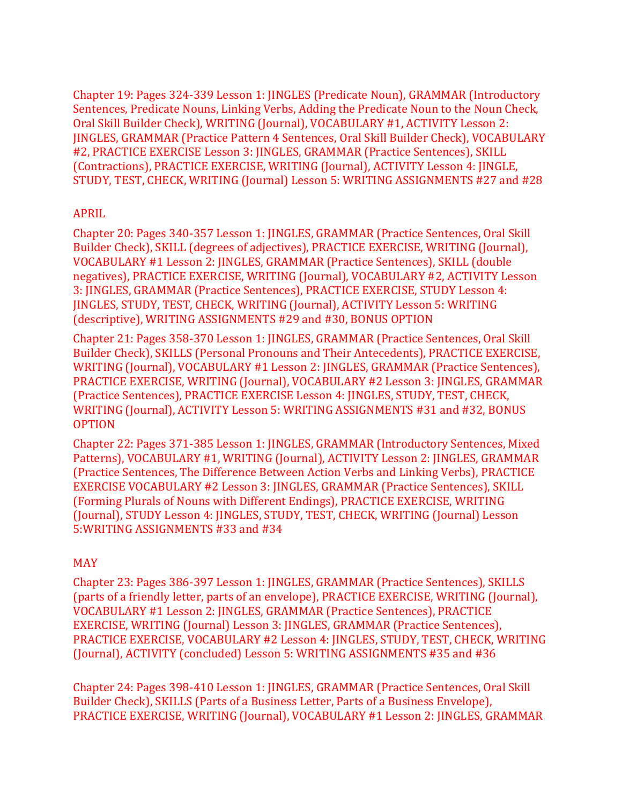Chapter 19: Pages 324-339 Lesson 1: JINGLES (Predicate Noun), GRAMMAR (Introductory Sentences, Predicate Nouns, Linking Verbs, Adding the Predicate Noun to the Noun Check, Oral Skill Builder Check), WRITING (Journal), VOCABULARY #1, ACTIVITY Lesson 2: JINGLES, GRAMMAR (Practice Pattern 4 Sentences, Oral Skill Builder Check), VOCABULARY #2, PRACTICE EXERCISE Lesson 3: JINGLES, GRAMMAR (Practice Sentences), SKILL (Contractions), PRACTICE EXERCISE, WRITING (Journal), ACTIVITY Lesson 4: JINGLE, STUDY, TEST, CHECK, WRITING (Journal) Lesson 5: WRITING ASSIGNMENTS #27 and #28

### APRIL

Chapter 20: Pages 340-357 Lesson 1: JINGLES, GRAMMAR (Practice Sentences, Oral Skill Builder Check), SKILL (degrees of adjectives), PRACTICE EXERCISE, WRITING (Journal), VOCABULARY #1 Lesson 2: JINGLES, GRAMMAR (Practice Sentences), SKILL (double negatives), PRACTICE EXERCISE, WRITING (Journal), VOCABULARY #2, ACTIVITY Lesson 3: JINGLES, GRAMMAR (Practice Sentences), PRACTICE EXERCISE, STUDY Lesson 4: JINGLES, STUDY, TEST, CHECK, WRITING (Journal), ACTIVITY Lesson 5: WRITING (descriptive), WRITING ASSIGNMENTS #29 and #30, BONUS OPTION

Chapter 21: Pages 358-370 Lesson 1: JINGLES, GRAMMAR (Practice Sentences, Oral Skill Builder Check), SKILLS (Personal Pronouns and Their Antecedents), PRACTICE EXERCISE, WRITING (Journal), VOCABULARY #1 Lesson 2: JINGLES, GRAMMAR (Practice Sentences), PRACTICE EXERCISE, WRITING (Journal), VOCABULARY #2 Lesson 3: JINGLES, GRAMMAR (Practice Sentences), PRACTICE EXERCISE Lesson 4: JINGLES, STUDY, TEST, CHECK, WRITING (Journal), ACTIVITY Lesson 5: WRITING ASSIGNMENTS #31 and #32, BONUS OPTION

Chapter 22: Pages 371-385 Lesson 1: JINGLES, GRAMMAR (Introductory Sentences, Mixed Patterns), VOCABULARY #1, WRITING (Journal), ACTIVITY Lesson 2: JINGLES, GRAMMAR (Practice Sentences, The Difference Between Action Verbs and Linking Verbs), PRACTICE EXERCISE VOCABULARY #2 Lesson 3: JINGLES, GRAMMAR (Practice Sentences), SKILL (Forming Plurals of Nouns with Different Endings), PRACTICE EXERCISE, WRITING (Journal), STUDY Lesson 4: JINGLES, STUDY, TEST, CHECK, WRITING (Journal) Lesson 5:WRITING ASSIGNMENTS #33 and #34

## MAY

Chapter 23: Pages 386-397 Lesson 1: JINGLES, GRAMMAR (Practice Sentences), SKILLS (parts of a friendly letter, parts of an envelope), PRACTICE EXERCISE, WRITING (Journal), VOCABULARY #1 Lesson 2: JINGLES, GRAMMAR (Practice Sentences), PRACTICE EXERCISE, WRITING (Journal) Lesson 3: JINGLES, GRAMMAR (Practice Sentences), PRACTICE EXERCISE, VOCABULARY #2 Lesson 4: JINGLES, STUDY, TEST, CHECK, WRITING (Journal), ACTIVITY (concluded) Lesson 5: WRITING ASSIGNMENTS #35 and #36

Chapter 24: Pages 398-410 Lesson 1: JINGLES, GRAMMAR (Practice Sentences, Oral Skill Builder Check), SKILLS (Parts of a Business Letter, Parts of a Business Envelope), PRACTICE EXERCISE, WRITING (Journal), VOCABULARY #1 Lesson 2: JINGLES, GRAMMAR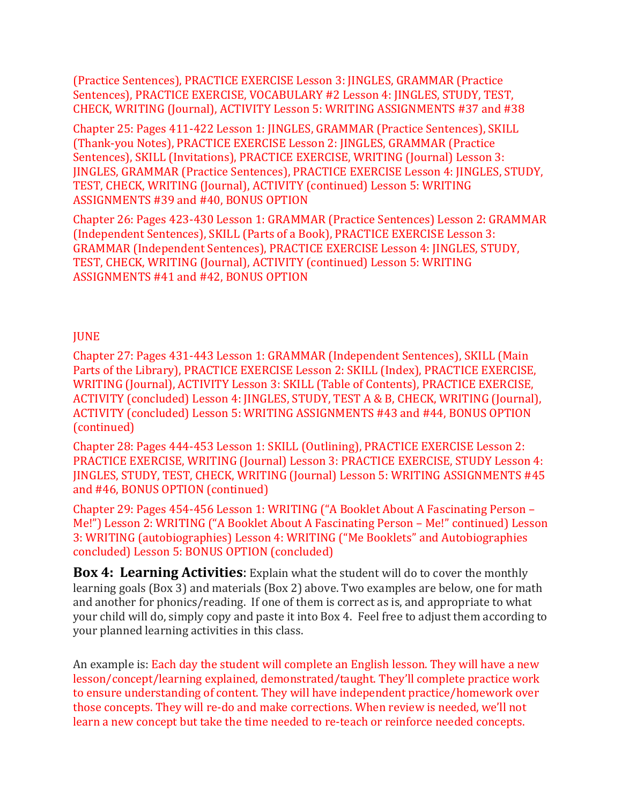(Practice Sentences), PRACTICE EXERCISE Lesson 3: JINGLES, GRAMMAR (Practice Sentences), PRACTICE EXERCISE, VOCABULARY #2 Lesson 4: JINGLES, STUDY, TEST, CHECK, WRITING (Journal), ACTIVITY Lesson 5: WRITING ASSIGNMENTS #37 and #38

Chapter 25: Pages 411-422 Lesson 1: JINGLES, GRAMMAR (Practice Sentences), SKILL (Thank-you Notes), PRACTICE EXERCISE Lesson 2: JINGLES, GRAMMAR (Practice Sentences), SKILL (Invitations), PRACTICE EXERCISE, WRITING (Journal) Lesson 3: JINGLES, GRAMMAR (Practice Sentences), PRACTICE EXERCISE Lesson 4: JINGLES, STUDY, TEST, CHECK, WRITING (Journal), ACTIVITY (continued) Lesson 5: WRITING ASSIGNMENTS #39 and #40, BONUS OPTION

Chapter 26: Pages 423-430 Lesson 1: GRAMMAR (Practice Sentences) Lesson 2: GRAMMAR (Independent Sentences), SKILL (Parts of a Book), PRACTICE EXERCISE Lesson 3: GRAMMAR (Independent Sentences), PRACTICE EXERCISE Lesson 4: JINGLES, STUDY, TEST, CHECK, WRITING (Journal), ACTIVITY (continued) Lesson 5: WRITING ASSIGNMENTS #41 and #42, BONUS OPTION

## **JUNE**

Chapter 27: Pages 431-443 Lesson 1: GRAMMAR (Independent Sentences), SKILL (Main Parts of the Library), PRACTICE EXERCISE Lesson 2: SKILL (Index), PRACTICE EXERCISE, WRITING (Journal), ACTIVITY Lesson 3: SKILL (Table of Contents), PRACTICE EXERCISE, ACTIVITY (concluded) Lesson 4: JINGLES, STUDY, TEST A & B, CHECK, WRITING (Journal), ACTIVITY (concluded) Lesson 5: WRITING ASSIGNMENTS #43 and #44, BONUS OPTION (continued)

Chapter 28: Pages 444-453 Lesson 1: SKILL (Outlining), PRACTICE EXERCISE Lesson 2: PRACTICE EXERCISE, WRITING (Journal) Lesson 3: PRACTICE EXERCISE, STUDY Lesson 4: JINGLES, STUDY, TEST, CHECK, WRITING (Journal) Lesson 5: WRITING ASSIGNMENTS #45 and #46, BONUS OPTION (continued)

Chapter 29: Pages 454-456 Lesson 1: WRITING ("A Booklet About A Fascinating Person – Me!") Lesson 2: WRITING ("A Booklet About A Fascinating Person – Me!" continued) Lesson 3: WRITING (autobiographies) Lesson 4: WRITING ("Me Booklets" and Autobiographies concluded) Lesson 5: BONUS OPTION (concluded)

**Box 4: Learning Activities**: Explain what the student will do to cover the monthly learning goals (Box 3) and materials (Box 2) above. Two examples are below, one for math and another for phonics/reading. If one of them is correct as is, and appropriate to what your child will do, simply copy and paste it into Box 4. Feel free to adjust them according to your planned learning activities in this class.

An example is: Each day the student will complete an English lesson. They will have a new lesson/concept/learning explained, demonstrated/taught. They'll complete practice work to ensure understanding of content. They will have independent practice/homework over those concepts. They will re-do and make corrections. When review is needed, we'll not learn a new concept but take the time needed to re-teach or reinforce needed concepts.